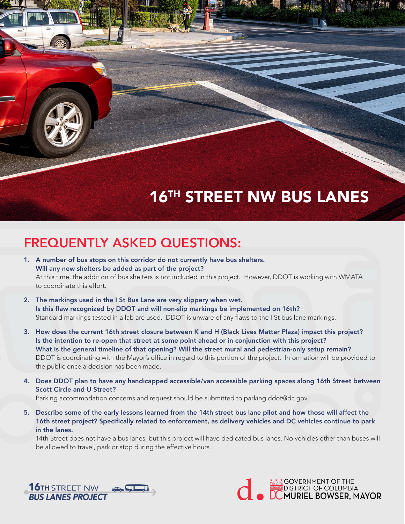## **16TH STREET NW BUS LANES**

## FREQUENTLY ASKED QUESTIONS:

- 1. A number of bus stops on this corridor do not currently have bus shelters. Will any new shelters be added as part of the project? At this time, the addition of bus shelters is not included in this project. However, DDOT is working with WMATA to coordinate this effort.
- 2. The markings used in the I St Bus Lane are very slippery when wet. Is this flaw recognized by DDOT and will non-slip markings be implemented on 16th? Standard markings tested in a lab are used. DDOT is unware of any flaws to the I St bus lane markings.
- 3. How does the current 16th street closure between K and H (Black Lives Matter Plaza) impact this project? Is the intention to re-open that street at some point ahead or in conjunction with this project? What is the general timeline of that opening? Will the street mural and pedestrian-only setup remain? DDOT is coordinating with the Mayor's office in regard to this portion of the project. Information will be provided to the public once a decision has been made.
- 4. Does DDOT plan to have any handicapped accessible/van accessible parking spaces along 16th Street between Scott Circle and U Street? Parking accommodation concerns and request should be submitted to parking.ddot@dc.gov.
- 5. Describe some of the early lessons learned from the 14th street bus lane pilot and how those will affect the 16th street project? Specifically related to enforcement, as delivery vehicles and DC vehicles continue to park in the lanes.

14th Street does not have a bus lanes, but this project will have dedicated bus lanes. No vehicles other than buses will be allowed to travel, park or stop during the effective hours.



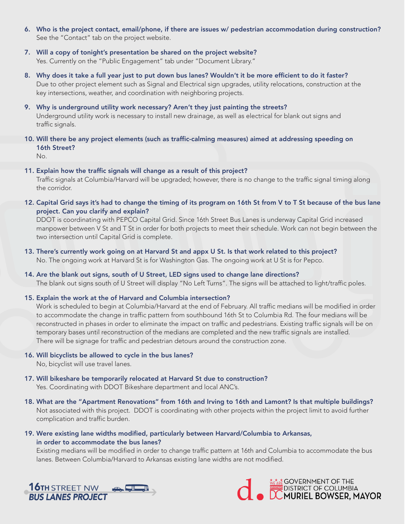- 6. Who is the project contact, email/phone, if there are issues w/ pedestrian accommodation during construction? See the "Contact" tab on the project website.
- 7. Will a copy of tonight's presentation be shared on the project website? Yes. Currently on the "Public Engagement" tab under "Document Library."
- 8. Why does it take a full year just to put down bus lanes? Wouldn't it be more efficient to do it faster? Due to other project element such as Signal and Electrical sign upgrades, utility relocations, construction at the key intersections, weather, and coordination with neighboring projects.
- 9. Why is underground utility work necessary? Aren't they just painting the streets? Underground utility work is necessary to install new drainage, as well as electrical for blank out signs and traffic signals.
- 10. Will there be any project elements (such as traffic-calming measures) aimed at addressing speeding on 16th Street?

No.

11. Explain how the traffic signals will change as a result of this project?

Traffic signals at Columbia/Harvard will be upgraded; however, there is no change to the traffic signal timing along the corridor.

12. Capital Grid says it's had to change the timing of its program on 16th St from V to T St because of the bus lane project. Can you clarify and explain?

DDOT is coordinating with PEPCO Capital Grid. Since 16th Street Bus Lanes is underway Capital Grid increased manpower between V St and T St in order for both projects to meet their schedule. Work can not begin between the two intersection until Capital Grid is complete.

- 13. There's currently work going on at Harvard St and appx U St. Is that work related to this project? No. The ongoing work at Harvard St is for Washington Gas. The ongoing work at U St is for Pepco.
- 14. Are the blank out signs, south of U Street, LED signs used to change lane directions? The blank out signs south of U Street will display "No Left Turns". The signs will be attached to light/traffic poles.
- 15. Explain the work at the of Harvard and Columbia intersection?

Work is scheduled to begin at Columbia/Harvard at the end of February. All traffic medians will be modified in order to accommodate the change in traffic pattern from southbound 16th St to Columbia Rd. The four medians will be reconstructed in phases in order to eliminate the impact on traffic and pedestrians. Existing traffic signals will be on temporary bases until reconstruction of the medians are completed and the new traffic signals are installed. There will be signage for traffic and pedestrian detours around the construction zone.

- 16. Will bicyclists be allowed to cycle in the bus lanes? No, bicyclist will use travel lanes.
- 17. Will bikeshare be temporarily relocated at Harvard St due to construction? Yes. Coordinating with DDOT Bikeshare department and local ANC's.
- 18. What are the "Apartment Renovations" from 16th and Irving to 16th and Lamont? Is that multiple buildings? Not associated with this project. DDOT is coordinating with other projects within the project limit to avoid further complication and traffic burden.
- 19. Were existing lane widths modified, particularly between Harvard/Columbia to Arkansas, in order to accommodate the bus lanes?

Existing medians will be modified in order to change traffic pattern at 16th and Columbia to accommodate the bus lanes. Between Columbia/Harvard to Arkansas existing lane widths are not modified.